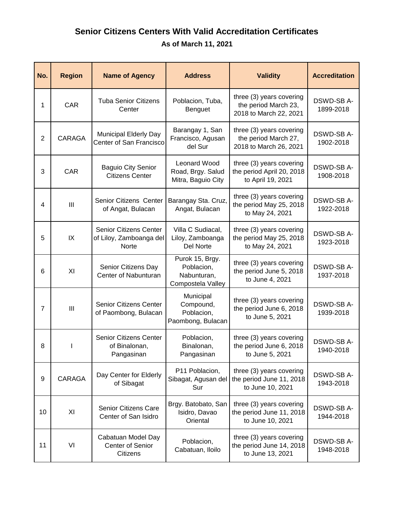## **Senior Citizens Centers With Valid Accreditation Certificates As of March 11, 2021**

| No.            | <b>Region</b>  | <b>Name of Agency</b>                                             | <b>Address</b>                                                    | <b>Validity</b>                                                            | <b>Accreditation</b>    |
|----------------|----------------|-------------------------------------------------------------------|-------------------------------------------------------------------|----------------------------------------------------------------------------|-------------------------|
| 1              | CAR            | <b>Tuba Senior Citizens</b><br>Center                             | Poblacion, Tuba,<br>Benguet                                       | three (3) years covering<br>the period March 23,<br>2018 to March 22, 2021 | DSWD-SB A-<br>1899-2018 |
| $\overline{2}$ | <b>CARAGA</b>  | Municipal Elderly Day<br>Center of San Francisco                  | Barangay 1, San<br>Francisco, Agusan<br>del Sur                   | three (3) years covering<br>the period March 27,<br>2018 to March 26, 2021 | DSWD-SB A-<br>1902-2018 |
| 3              | <b>CAR</b>     | <b>Baguio City Senior</b><br><b>Citizens Center</b>               | Leonard Wood<br>Road, Brgy. Salud<br>Mitra, Baguio City           | three (3) years covering<br>the period April 20, 2018<br>to April 19, 2021 | DSWD-SB A-<br>1908-2018 |
| 4              | $\mathbf{III}$ | Senior Citizens Center<br>of Angat, Bulacan                       | Barangay Sta. Cruz,<br>Angat, Bulacan                             | three (3) years covering<br>the period May 25, 2018<br>to May 24, 2021     | DSWD-SB A-<br>1922-2018 |
| 5              | IX             | Senior Citizens Center<br>of Liloy, Zamboanga del<br><b>Norte</b> | Villa C Sudiacal,<br>Liloy, Zamboanga<br><b>Del Norte</b>         | three (3) years covering<br>the period May 25, 2018<br>to May 24, 2021     | DSWD-SB A-<br>1923-2018 |
| 6              | XI             | Senior Citizens Day<br>Center of Nabunturan                       | Purok 15, Brgy.<br>Poblacion,<br>Nabunturan,<br>Compostela Valley | three (3) years covering<br>the period June 5, 2018<br>to June 4, 2021     | DSWD-SB A-<br>1937-2018 |
| $\overline{7}$ | III            | <b>Senior Citizens Center</b><br>of Paombong, Bulacan             | Municipal<br>Compound,<br>Poblacion,<br>Paombong, Bulacan         | three (3) years covering<br>the period June 6, 2018<br>to June 5, 2021     | DSWD-SB A-<br>1939-2018 |
| 8              |                | Senior Citizens Center<br>of Binalonan,<br>Pangasinan             | Poblacion,<br>Binalonan,<br>Pangasinan                            | three (3) years covering<br>the period June 6, 2018<br>to June 5, 2021     | DSWD-SB A-<br>1940-2018 |
| 9              | CARAGA         | Day Center for Elderly<br>of Sibagat                              | P11 Poblacion,<br>Sibagat, Agusan del<br>Sur                      | three (3) years covering<br>the period June 11, 2018<br>to June 10, 2021   | DSWD-SB A-<br>1943-2018 |
| 10             | XI             | <b>Senior Citizens Care</b><br>Center of San Isidro               | Brgy. Batobato, San<br>Isidro, Davao<br>Oriental                  | three (3) years covering<br>the period June 11, 2018<br>to June 10, 2021   | DSWD-SB A-<br>1944-2018 |
| 11             | VI             | Cabatuan Model Day<br><b>Center of Senior</b><br>Citizens         | Poblacion,<br>Cabatuan, Iloilo                                    | three (3) years covering<br>the period June 14, 2018<br>to June 13, 2021   | DSWD-SB A-<br>1948-2018 |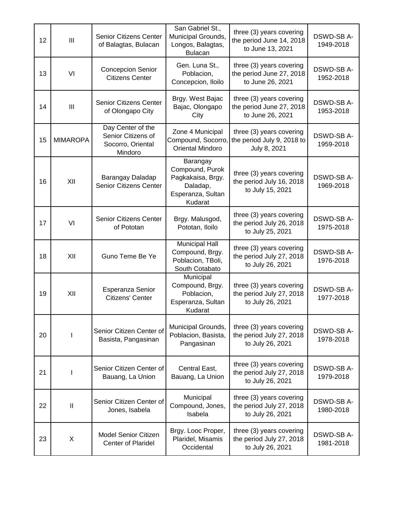| 12 | III             | Senior Citizens Center<br>of Balagtas, Bulacan                          | San Gabriel St.,<br>Municipal Grounds,<br>Longos, Balagtas,<br><b>Bulacan</b>                | three (3) years covering<br>the period June 14, 2018<br>to June 13, 2021 | <b>DSWD-SBA-</b><br>1949-2018 |
|----|-----------------|-------------------------------------------------------------------------|----------------------------------------------------------------------------------------------|--------------------------------------------------------------------------|-------------------------------|
| 13 | VI              | <b>Concepcion Senior</b><br><b>Citizens Center</b>                      | Gen. Luna St.,<br>Poblacion,<br>Concepcion, Iloilo                                           | three (3) years covering<br>the period June 27, 2018<br>to June 26, 2021 | DSWD-SB A-<br>1952-2018       |
| 14 | III             | <b>Senior Citizens Center</b><br>of Olongapo City                       | Brgy. West Bajac<br>Bajac, Olongapo<br>City                                                  | three (3) years covering<br>the period June 27, 2018<br>to June 26, 2021 | DSWD-SB A-<br>1953-2018       |
| 15 | <b>MIMAROPA</b> | Day Center of the<br>Senior Citizens of<br>Socorro, Oriental<br>Mindoro | Zone 4 Municipal<br>Compound, Socorro,<br><b>Oriental Mindoro</b>                            | three (3) years covering<br>the period July 9, 2018 to<br>July 8, 2021   | DSWD-SB A-<br>1959-2018       |
| 16 | XII             | Barangay Daladap<br><b>Senior Citizens Center</b>                       | Barangay<br>Compound, Purok<br>Pagkakaisa, Brgy.<br>Daladap,<br>Esperanza, Sultan<br>Kudarat | three (3) years covering<br>the period July 16, 2018<br>to July 15, 2021 | DSWD-SB A-<br>1969-2018       |
| 17 | VI              | <b>Senior Citizens Center</b><br>of Pototan                             | Brgy. Malusgod,<br>Pototan, Iloilo                                                           | three (3) years covering<br>the period July 26, 2018<br>to July 25, 2021 | DSWD-SB A-<br>1975-2018       |
| 18 | XII             | Guno Teme Be Ye                                                         | <b>Municipal Hall</b><br>Compound, Brgy.<br>Poblacion, TBoli,<br>South Cotabato              | three (3) years covering<br>the period July 27, 2018<br>to July 26, 2021 | DSWD-SB A-<br>1976-2018       |
| 19 | XII             | Esperanza Senior<br>Citizens' Center                                    | Municipal<br>Compound, Brgy.<br>Poblacion,<br>Esperanza, Sultan<br>Kudarat                   | three (3) years covering<br>the period July 27, 2018<br>to July 26, 2021 | DSWD-SB A-<br>1977-2018       |
| 20 |                 | Senior Citizen Center of<br>Basista, Pangasinan                         | Municipal Grounds,<br>Poblacion, Basista,<br>Pangasinan                                      | three (3) years covering<br>the period July 27, 2018<br>to July 26, 2021 | DSWD-SB A-<br>1978-2018       |
| 21 |                 | Senior Citizen Center of<br>Bauang, La Union                            | Central East,<br>Bauang, La Union                                                            | three (3) years covering<br>the period July 27, 2018<br>to July 26, 2021 | DSWD-SB A-<br>1979-2018       |
| 22 | $\mathbf{I}$    | Senior Citizen Center of<br>Jones, Isabela                              | Municipal<br>Compound, Jones,<br>Isabela                                                     | three (3) years covering<br>the period July 27, 2018<br>to July 26, 2021 | DSWD-SB A-<br>1980-2018       |
| 23 | X               | Model Senior Citizen<br><b>Center of Plaridel</b>                       | Brgy. Looc Proper,<br>Plaridel, Misamis<br>Occidental                                        | three (3) years covering<br>the period July 27, 2018<br>to July 26, 2021 | DSWD-SB A-<br>1981-2018       |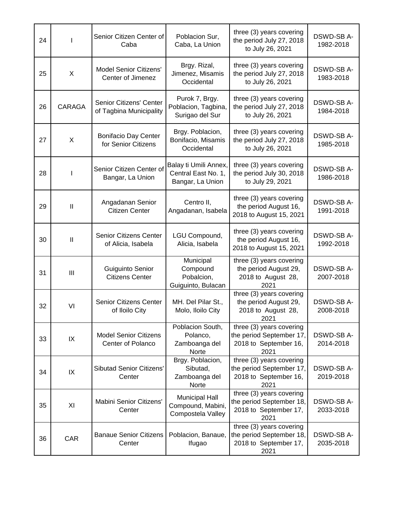| 24 |        | Senior Citizen Center of<br>Caba                    | Poblacion Sur,<br>Caba, La Union                                 | three (3) years covering<br>the period July 27, 2018<br>to July 26, 2021              | DSWD-SB A-<br>1982-2018       |
|----|--------|-----------------------------------------------------|------------------------------------------------------------------|---------------------------------------------------------------------------------------|-------------------------------|
| 25 | X      | <b>Model Senior Citizens'</b><br>Center of Jimenez  | Brgy. Rizal,<br>Jimenez, Misamis<br>Occidental                   | three (3) years covering<br>the period July 27, 2018<br>to July 26, 2021              | <b>DSWD-SBA-</b><br>1983-2018 |
| 26 | CARAGA | Senior Citizens' Center<br>of Tagbina Municipality  | Purok 7, Brgy.<br>Poblacion, Tagbina,<br>Surigao del Sur         | three (3) years covering<br>the period July 27, 2018<br>to July 26, 2021              | DSWD-SB A-<br>1984-2018       |
| 27 | X      | <b>Bonifacio Day Center</b><br>for Senior Citizens  | Brgy. Poblacion,<br>Bonifacio, Misamis<br>Occidental             | three (3) years covering<br>the period July 27, 2018<br>to July 26, 2021              | DSWD-SB A-<br>1985-2018       |
| 28 |        | Senior Citizen Center of<br>Bangar, La Union        | Balay ti Umili Annex,<br>Central East No. 1,<br>Bangar, La Union | three (3) years covering<br>the period July 30, 2018<br>to July 29, 2021              | DSWD-SB A-<br>1986-2018       |
| 29 | Ш      | Angadanan Senior<br><b>Citizen Center</b>           | Centro II,<br>Angadanan, Isabela                                 | three (3) years covering<br>the period August 16,<br>2018 to August 15, 2021          | DSWD-SB A-<br>1991-2018       |
| 30 | Ш      | <b>Senior Citizens Center</b><br>of Alicia, Isabela | LGU Compound,<br>Alicia, Isabela                                 | three (3) years covering<br>the period August 16,<br>2018 to August 15, 2021          | DSWD-SB A-<br>1992-2018       |
| 31 | III    | Guiguinto Senior<br><b>Citizens Center</b>          | Municipal<br>Compound<br>Pobalcion,<br>Guiguinto, Bulacan        | three (3) years covering<br>the period August 29,<br>2018 to August 28,<br>2021       | DSWD-SB A-<br>2007-2018       |
| 32 | VI     | <b>Senior Citizens Center</b><br>of Iloilo City     | MH. Del Pilar St.,<br>Molo, Iloilo City                          | $t$ hree (3) years covering<br>the period August 29,<br>2018 to August 28,<br>2021    | DSWD-SB A-<br>2008-2018       |
| 33 | IX     | <b>Model Senior Citizens</b><br>Center of Polanco   | Poblacion South,<br>Polanco,<br>Zamboanga del<br><b>Norte</b>    | three (3) years covering<br>the period September 17,<br>2018 to September 16,<br>2021 | DSWD-SB A-<br>2014-2018       |
| 34 | IX     | <b>Sibutad Senior Citizens'</b><br>Center           | Brgy. Poblacion,<br>Sibutad,<br>Zamboanga del<br><b>Norte</b>    | three (3) years covering<br>the period September 17,<br>2018 to September 16,<br>2021 | DSWD-SB A-<br>2019-2018       |
| 35 | XI     | Mabini Senior Citizens'<br>Center                   | <b>Municipal Hall</b><br>Compound, Mabini,<br>Compostela Valley  | three (3) years covering<br>the period September 18,<br>2018 to September 17,<br>2021 | DSWD-SB A-<br>2033-2018       |
| 36 | CAR    | <b>Banaue Senior Citizens</b><br>Center             | Poblacion, Banaue,<br>Ifugao                                     | three (3) years covering<br>the period September 18,<br>2018 to September 17,<br>2021 | DSWD-SB A-<br>2035-2018       |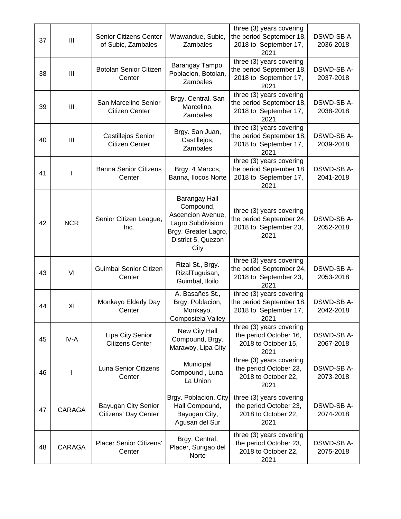| 37 | III            | <b>Senior Citizens Center</b><br>of Subic, Zambales | Wawandue, Subic,<br>Zambales                                                                                                       | three (3) years covering<br>the period September 18,<br>2018 to September 17,<br>2021    | DSWD-SB A-<br>2036-2018 |
|----|----------------|-----------------------------------------------------|------------------------------------------------------------------------------------------------------------------------------------|------------------------------------------------------------------------------------------|-------------------------|
| 38 | III            | <b>Botolan Senior Citizen</b><br>Center             | Barangay Tampo,<br>Poblacion, Botolan,<br>Zambales                                                                                 | three (3) years covering<br>the period September 18,<br>2018 to September 17,<br>2021    | DSWD-SB A-<br>2037-2018 |
| 39 | $\mathbf{III}$ | San Marcelino Senior<br><b>Citizen Center</b>       | Brgy. Central, San<br>Marcelino,<br>Zambales                                                                                       | three (3) years covering<br>the period September 18,<br>2018 to September 17,<br>2021    | DSWD-SB A-<br>2038-2018 |
| 40 | III            | Castillejos Senior<br><b>Citizen Center</b>         | Brgy. San Juan,<br>Castillejos,<br>Zambales                                                                                        | three (3) years covering<br>the period September 18,<br>2018 to September 17,<br>2021    | DSWD-SB A-<br>2039-2018 |
| 41 |                | <b>Banna Senior Citizens</b><br>Center              | Brgy. 4 Marcos,<br>Banna, Ilocos Norte                                                                                             | three (3) years covering<br>the period September 18,<br>2018 to September 17,<br>2021    | DSWD-SB A-<br>2041-2018 |
| 42 | <b>NCR</b>     | Senior Citizen League,<br>Inc.                      | <b>Barangay Hall</b><br>Compound,<br>Ascencion Avenue,<br>Lagro Subdivision,<br>Brgy. Greater Lagro,<br>District 5, Quezon<br>City | three (3) years covering<br>the period September 24,<br>2018 to September 23,<br>2021    | DSWD-SB A-<br>2052-2018 |
| 43 | VI             | <b>Guimbal Senior Citizen</b><br>Center             | Rizal St., Brgy.<br>RizalTuguisan,<br>Guimbal, Iloilo                                                                              | three (3) years covering<br>the period September 24,<br>2018 to September 23,<br>2021    | DSWD-SB A-<br>2053-2018 |
| 44 | XI             | Monkayo Elderly Day<br>Center                       | A. Basañes St.,<br>Brgy. Poblacion,<br>Monkayo,<br>Compostela Valley                                                               | $t$ hree (3) years covering<br>the period September 18,<br>2018 to September 17,<br>2021 | DSWD-SB A-<br>2042-2018 |
| 45 | IV-A           | Lipa City Senior<br><b>Citizens Center</b>          | New City Hall<br>Compound, Brgy.<br>Marawoy, Lipa City                                                                             | three (3) years covering<br>the period October 16,<br>2018 to October 15,<br>2021        | DSWD-SB A-<br>2067-2018 |
| 46 |                | Luna Senior Citizens<br>Center                      | Municipal<br>Compound, Luna,<br>La Union                                                                                           | three (3) years covering<br>the period October 23,<br>2018 to October 22,<br>2021        | DSWD-SB A-<br>2073-2018 |
| 47 | CARAGA         | Bayugan City Senior<br>Citizens' Day Center         | Brgy. Poblacion, City<br>Hall Compound,<br>Bayugan City,<br>Agusan del Sur                                                         | three (3) years covering<br>the period October 23,<br>2018 to October 22,<br>2021        | DSWD-SB A-<br>2074-2018 |
| 48 | CARAGA         | <b>Placer Senior Citizens'</b><br>Center            | Brgy. Central,<br>Placer, Surigao del<br>Norte                                                                                     | three (3) years covering<br>the period October 23,<br>2018 to October 22,<br>2021        | DSWD-SB A-<br>2075-2018 |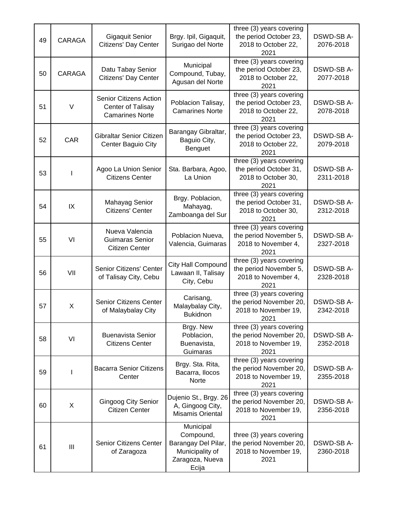| 49 | CARAGA     | <b>Gigaquit Senior</b><br><b>Citizens' Day Center</b>                        | Brgy. Ipil, Gigaquit,<br>Surigao del Norte                                                   | three (3) years covering<br>the period October 23,<br>2018 to October 22,<br>2021      | DSWD-SB A-<br>2076-2018       |
|----|------------|------------------------------------------------------------------------------|----------------------------------------------------------------------------------------------|----------------------------------------------------------------------------------------|-------------------------------|
| 50 | CARAGA     | Datu Tabay Senior<br>Citizens' Day Center                                    | Municipal<br>Compound, Tubay,<br>Agusan del Norte                                            | three (3) years covering<br>the period October 23,<br>2018 to October 22,<br>2021      | DSWD-SB A-<br>2077-2018       |
| 51 | V          | Senior Citizens Action<br><b>Center of Talisay</b><br><b>Camarines Norte</b> | Poblacion Talisay,<br><b>Camarines Norte</b>                                                 | three (3) years covering<br>the period October 23,<br>2018 to October 22,<br>2021      | DSWD-SB A-<br>2078-2018       |
| 52 | <b>CAR</b> | Gibraltar Senior Citizen<br>Center Baguio City                               | Barangay Gibraltar,<br>Baguio City,<br>Benguet                                               | three (3) years covering<br>the period October 23,<br>2018 to October 22,<br>2021      | DSWD-SB A-<br>2079-2018       |
| 53 |            | Agoo La Union Senior<br><b>Citizens Center</b>                               | Sta. Barbara, Agoo,<br>La Union                                                              | three (3) years covering<br>the period October 31,<br>2018 to October 30,<br>2021      | DSWD-SB A-<br>2311-2018       |
| 54 | IX         | Mahayag Senior<br>Citizens' Center                                           | Brgy. Poblacion,<br>Mahayag,<br>Zamboanga del Sur                                            | three (3) years covering<br>the period October 31,<br>2018 to October 30,<br>2021      | <b>DSWD-SBA-</b><br>2312-2018 |
| 55 | VI         | Nueva Valencia<br>Guimaras Senior<br><b>Citizen Center</b>                   | Poblacion Nueva,<br>Valencia, Guimaras                                                       | three (3) years covering<br>the period November 5,<br>2018 to November 4,<br>2021      | DSWD-SB A-<br>2327-2018       |
| 56 | VII        | Senior Citizens' Center<br>of Talisay City, Cebu                             | <b>City Hall Compound</b><br>Lawaan II, Talisay<br>City, Cebu                                | three (3) years covering<br>the period November 5,<br>2018 to November 4,<br>2021      | DSWD-SB A-<br>2328-2018       |
| 57 | X          | Senior Citizens Center<br>of Malaybalay City                                 | Carisang,<br>Malaybalay City,<br><b>Bukidnon</b>                                             | $t$ hree (3) years covering<br>the period November 20,<br>2018 to November 19,<br>2021 | DSWD-SB A-<br>2342-2018       |
| 58 | VI         | <b>Buenavista Senior</b><br><b>Citizens Center</b>                           | Brgy. New<br>Poblacion,<br>Buenavista,<br>Guimaras                                           | three (3) years covering<br>the period November 20,<br>2018 to November 19,<br>2021    | DSWD-SB A-<br>2352-2018       |
| 59 |            | <b>Bacarra Senior Citizens</b><br>Center                                     | Brgy. Sta. Rita,<br>Bacarra, Ilocos<br>Norte                                                 | three (3) years covering<br>the period November 20,<br>2018 to November 19,<br>2021    | DSWD-SB A-<br>2355-2018       |
| 60 | X          | <b>Gingoog City Senior</b><br><b>Citizen Center</b>                          | Dujenio St., Brgy. 26<br>A, Gingoog City,<br>Misamis Oriental                                | three (3) years covering<br>the period November 20,<br>2018 to November 19,<br>2021    | DSWD-SB A-<br>2356-2018       |
| 61 | III        | <b>Senior Citizens Center</b><br>of Zaragoza                                 | Municipal<br>Compound,<br>Barangay Del Pilar,<br>Municipality of<br>Zaragoza, Nueva<br>Ecija | three (3) years covering<br>the period November 20,<br>2018 to November 19,<br>2021    | DSWD-SB A-<br>2360-2018       |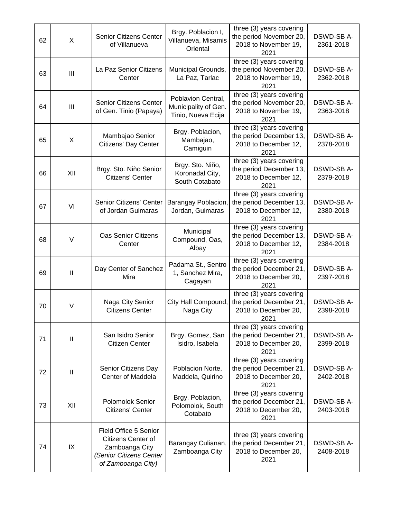| 62 | X             | <b>Senior Citizens Center</b><br>of Villanueva                                                                 | Brgy. Poblacion I,<br>Villanueva, Misamis<br>Oriental            | three (3) years covering<br>the period November 20,<br>2018 to November 19,<br>2021 | DSWD-SB A-<br>2361-2018 |
|----|---------------|----------------------------------------------------------------------------------------------------------------|------------------------------------------------------------------|-------------------------------------------------------------------------------------|-------------------------|
| 63 | III           | La Paz Senior Citizens<br>Center                                                                               | Municipal Grounds,<br>La Paz, Tarlac                             | three (3) years covering<br>the period November 20,<br>2018 to November 19,<br>2021 | DSWD-SB A-<br>2362-2018 |
| 64 | III           | <b>Senior Citizens Center</b><br>of Gen. Tinio (Papaya)                                                        | Poblavion Central,<br>Municipality of Gen.<br>Tinio, Nueva Ecija | three (3) years covering<br>the period November 20,<br>2018 to November 19,<br>2021 | DSWD-SB A-<br>2363-2018 |
| 65 | X             | Mambajao Senior<br>Citizens' Day Center                                                                        | Brgy. Poblacion,<br>Mambajao,<br>Camiguin                        | three (3) years covering<br>the period December 13,<br>2018 to December 12,<br>2021 | DSWD-SB A-<br>2378-2018 |
| 66 | XII           | Brgy. Sto. Niño Senior<br>Citizens' Center                                                                     | Brgy. Sto. Niño,<br>Koronadal City,<br>South Cotabato            | three (3) years covering<br>the period December 13,<br>2018 to December 12,<br>2021 | DSWD-SB A-<br>2379-2018 |
| 67 | VI            | Senior Citizens' Center<br>of Jordan Guimaras                                                                  | Barangay Poblacion,<br>Jordan, Guimaras                          | three (3) years covering<br>the period December 13,<br>2018 to December 12,<br>2021 | DSWD-SB A-<br>2380-2018 |
| 68 | $\vee$        | <b>Oas Senior Citizens</b><br>Center                                                                           | Municipal<br>Compound, Oas,<br>Albay                             | three (3) years covering<br>the period December 13,<br>2018 to December 12,<br>2021 | DSWD-SB A-<br>2384-2018 |
| 69 | $\mathbf{I}$  | Day Center of Sanchez<br>Mira                                                                                  | Padama St., Sentro<br>1, Sanchez Mira,<br>Cagayan                | three (3) years covering<br>the period December 21,<br>2018 to December 20,<br>2021 | DSWD-SB A-<br>2397-2018 |
| 70 | V             | Naga City Senior<br><b>Citizens Center</b>                                                                     | City Hall Compound,<br>Naga City                                 | three (3) years covering<br>the period December 21,<br>2018 to December 20,<br>2021 | DSWD-SB A-<br>2398-2018 |
| 71 | $\mathbf{I}$  | San Isidro Senior<br><b>Citizen Center</b>                                                                     | Brgy. Gomez, San<br>Isidro, Isabela                              | three (3) years covering<br>the period December 21,<br>2018 to December 20,<br>2021 | DSWD-SB A-<br>2399-2018 |
| 72 | $\mathbf{  }$ | Senior Citizens Day<br>Center of Maddela                                                                       | Poblacion Norte,<br>Maddela, Quirino                             | three (3) years covering<br>the period December 21,<br>2018 to December 20,<br>2021 | DSWD-SB A-<br>2402-2018 |
| 73 | XII           | Polomolok Senior<br>Citizens' Center                                                                           | Brgy. Poblacion,<br>Polomolok, South<br>Cotabato                 | three (3) years covering<br>the period December 21,<br>2018 to December 20,<br>2021 | DSWD-SB A-<br>2403-2018 |
| 74 | IX            | Field Office 5 Senior<br>Citizens Center of<br>Zamboanga City<br>(Senior Citizens Center<br>of Zamboanga City) | Barangay Culianan,<br>Zamboanga City                             | three (3) years covering<br>the period December 21,<br>2018 to December 20,<br>2021 | DSWD-SB A-<br>2408-2018 |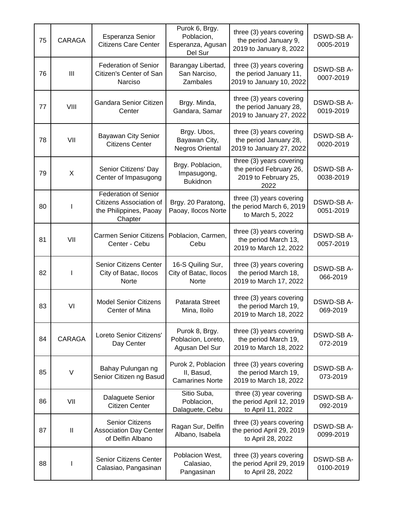| 75 | <b>CARAGA</b> | Esperanza Senior<br><b>Citizens Care Center</b>                                             | Purok 6, Brgy.<br>Poblacion,<br>Esperanza, Agusan<br>Del Sur | three (3) years covering<br>the period January 9,<br>2019 to January 8, 2022        | DSWD-SB A-<br>0005-2019      |
|----|---------------|---------------------------------------------------------------------------------------------|--------------------------------------------------------------|-------------------------------------------------------------------------------------|------------------------------|
| 76 | III           | <b>Federation of Senior</b><br>Citizen's Center of San<br>Narciso                           | Barangay Libertad,<br>San Narciso,<br>Zambales               | three (3) years covering<br>the period January 11,<br>2019 to January 10, 2022      | DSWD-SB A-<br>0007-2019      |
| 77 | VIII          | Gandara Senior Citizen<br>Center                                                            | Brgy. Minda,<br>Gandara, Samar                               | three (3) years covering<br>the period January 28,<br>2019 to January 27, 2022      | DSWD-SB A-<br>0019-2019      |
| 78 | VII           | Bayawan City Senior<br><b>Citizens Center</b>                                               | Brgy. Ubos,<br>Bayawan City,<br>Negros Oriental              | three (3) years covering<br>the period January 28,<br>2019 to January 27, 2022      | DSWD-SB A-<br>0020-2019      |
| 79 | X             | Senior Citizens' Day<br>Center of Impasugong                                                | Brgy. Poblacion,<br>Impasugong,<br><b>Bukidnon</b>           | three (3) years covering<br>the period February 26,<br>2019 to February 25,<br>2022 | DSWD-SB A-<br>0038-2019      |
| 80 |               | <b>Federation of Senior</b><br>Citizens Association of<br>the Philippines, Paoay<br>Chapter | Brgy. 20 Paratong,<br>Paoay, Ilocos Norte                    | three (3) years covering<br>the period March 6, 2019<br>to March 5, 2022            | DSWD-SB A-<br>0051-2019      |
| 81 | VII           | <b>Carmen Senior Citizens</b><br>Center - Cebu                                              | Poblacion, Carmen,<br>Cebu                                   | three (3) years covering<br>the period March 13,<br>2019 to March 12, 2022          | DSWD-SB A-<br>0057-2019      |
| 82 | <b>I</b>      | <b>Senior Citizens Center</b><br>City of Batac, Ilocos<br>Norte                             | 16-S Quiling Sur,<br>City of Batac, Ilocos<br>Norte          | three (3) years covering<br>the period March 18,<br>2019 to March 17, 2022          | DSWD-SB A-<br>066-2019       |
| 83 | VI            | <b>Model Senior Citizens</b><br>Center of Mina                                              | Patarata Street<br>Mina, Iloilo                              | three (3) years covering<br>the period March 19,<br>2019 to March 18, 2022          | DSWD-SB A-<br>069-2019       |
| 84 | <b>CARAGA</b> | Loreto Senior Citizens'<br>Day Center                                                       | Purok 8, Brgy.<br>Poblacion, Loreto,<br>Agusan Del Sur       | three (3) years covering<br>the period March 19,<br>2019 to March 18, 2022          | DSWD-SB A-<br>072-2019       |
| 85 | V             | Bahay Pulungan ng<br>Senior Citizen ng Basud                                                | Purok 2, Poblacion<br>II, Basud,<br><b>Camarines Norte</b>   | three (3) years covering<br>the period March 19,<br>2019 to March 18, 2022          | <b>DSWD-SBA-</b><br>073-2019 |
| 86 | VII           | Dalaguete Senior<br><b>Citizen Center</b>                                                   | Sitio Suba,<br>Poblacion,<br>Dalaguete, Cebu                 | three (3) year covering<br>the period April 12, 2019<br>to April 11, 2022           | DSWD-SB A-<br>092-2019       |
| 87 | $\mathbf{I}$  | <b>Senior Citizens</b><br><b>Association Day Center</b><br>of Delfin Albano                 | Ragan Sur, Delfin<br>Albano, Isabela                         | three (3) years covering<br>the period April 29, 2019<br>to April 28, 2022          | DSWD-SB A-<br>0099-2019      |
| 88 |               | Senior Citizens Center<br>Calasiao, Pangasinan                                              | Poblacion West,<br>Calasiao,<br>Pangasinan                   | three (3) years covering<br>the period April 29, 2019<br>to April 28, 2022          | DSWD-SB A-<br>0100-2019      |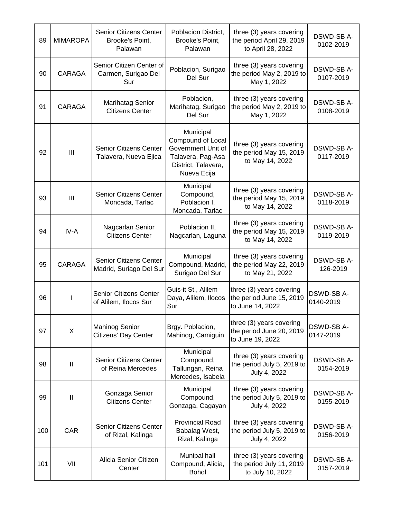| 89  | <b>MIMAROPA</b> | <b>Senior Citizens Center</b><br>Brooke's Point,<br>Palawan | Poblacion District,<br>Brooke's Point,<br>Palawan                                                               | three (3) years covering<br>the period April 29, 2019<br>to April 28, 2022 | DSWD-SB A-<br>0102-2019       |
|-----|-----------------|-------------------------------------------------------------|-----------------------------------------------------------------------------------------------------------------|----------------------------------------------------------------------------|-------------------------------|
| 90  | CARAGA          | Senior Citizen Center of<br>Carmen, Surigao Del<br>Sur      | Poblacion, Surigao<br>Del Sur                                                                                   | three (3) years covering<br>the period May 2, 2019 to<br>May 1, 2022       | DSWD-SB A-<br>0107-2019       |
| 91  | CARAGA          | <b>Marihatag Senior</b><br><b>Citizens Center</b>           | Poblacion,<br>Marihatag, Surigao<br>Del Sur                                                                     | three (3) years covering<br>the period May 2, 2019 to<br>May 1, 2022       | DSWD-SB A-<br>0108-2019       |
| 92  | III             | <b>Senior Citizens Center</b><br>Talavera, Nueva Ejica      | Municipal<br>Compound of Local<br>Government Unit of<br>Talavera, Pag-Asa<br>District, Talavera,<br>Nueva Ecija | three (3) years covering<br>the period May 15, 2019<br>to May 14, 2022     | DSWD-SB A-<br>0117-2019       |
| 93  | III             | Senior Citizens Center<br>Moncada, Tarlac                   | Municipal<br>Compound,<br>Poblacion I,<br>Moncada, Tarlac                                                       | three (3) years covering<br>the period May 15, 2019<br>to May 14, 2022     | <b>DSWD-SBA-</b><br>0118-2019 |
| 94  | IV-A            | Nagcarlan Senior<br><b>Citizens Center</b>                  | Poblacion II,<br>Nagcarlan, Laguna                                                                              | three (3) years covering<br>the period May 15, 2019<br>to May 14, 2022     | DSWD-SB A-<br>0119-2019       |
| 95  | <b>CARAGA</b>   | <b>Senior Citizens Center</b><br>Madrid, Suriago Del Sur    | Municipal<br>Compound, Madrid,<br>Surigao Del Sur                                                               | three (3) years covering<br>the period May 22, 2019<br>to May 21, 2022     | DSWD-SB A-<br>126-2019        |
| 96  |                 | <b>Senior Citizens Center</b><br>of Alilem, Ilocos Sur      | Guis-it St., Alilem<br>Daya, Alilem, Ilocos<br>Sur                                                              | three (3) years covering<br>the period June 15, 2019<br>to June 14, 2022   | DSWD-SB A-<br>0140-2019       |
| 97  | X               | <b>Mahinog Senior</b><br>Citizens' Day Center               | Brgy. Poblacion,<br>Mahinog, Camiguin                                                                           | three (3) years covering<br>the period June 20, 2019<br>to June 19, 2022   | <b>DSWD-SBA-</b><br>0147-2019 |
| 98  | $\mathbf{I}$    | Senior Citizens Center<br>of Reina Mercedes                 | Municipal<br>Compound,<br>Tallungan, Reina<br>Mercedes, Isabela                                                 | three (3) years covering<br>the period July 5, 2019 to<br>July 4, 2022     | DSWD-SB A-<br>0154-2019       |
| 99  | Ш               | Gonzaga Senior<br><b>Citizens Center</b>                    | Municipal<br>Compound,<br>Gonzaga, Cagayan                                                                      | three (3) years covering<br>the period July 5, 2019 to<br>July 4, 2022     | DSWD-SB A-<br>0155-2019       |
| 100 | <b>CAR</b>      | <b>Senior Citizens Center</b><br>of Rizal, Kalinga          | <b>Provincial Road</b><br>Babalag West,<br>Rizal, Kalinga                                                       | three (3) years covering<br>the period July 5, 2019 to<br>July 4, 2022     | DSWD-SB A-<br>0156-2019       |
| 101 | VII             | Alicia Senior Citizen<br>Center                             | Munipal hall<br>Compound, Alicia,<br><b>Bohol</b>                                                               | three (3) years covering<br>the period July 11, 2019<br>to July 10, 2022   | DSWD-SB A-<br>0157-2019       |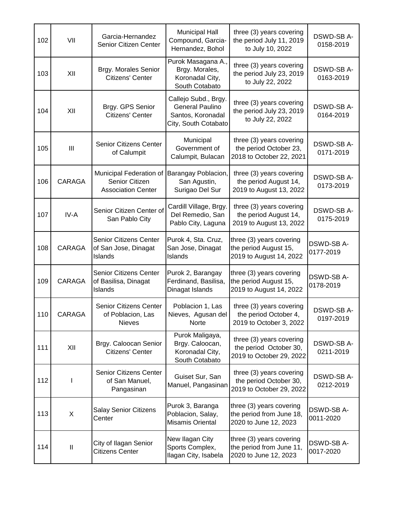| 102 | VII           | Garcia-Hernandez<br>Senior Citizen Center                              | <b>Municipal Hall</b><br>Compound, Garcia-<br>Hernandez, Bohol                              | three (3) years covering<br>the period July 11, 2019<br>to July 10, 2022       | DSWD-SB A-<br>0158-2019 |
|-----|---------------|------------------------------------------------------------------------|---------------------------------------------------------------------------------------------|--------------------------------------------------------------------------------|-------------------------|
| 103 | XII           | Brgy. Morales Senior<br>Citizens' Center                               | Purok Masagana A.,<br>Brgy. Morales,<br>Koronadal City,<br>South Cotabato                   | three (3) years covering<br>the period July 23, 2019<br>to July 22, 2022       | DSWD-SB A-<br>0163-2019 |
| 104 | XII           | Brgy. GPS Senior<br>Citizens' Center                                   | Callejo Subd., Brgy.<br><b>General Paulino</b><br>Santos, Koronadal<br>City, South Cotabato | three (3) years covering<br>the period July 23, 2019<br>to July 22, 2022       | DSWD-SB A-<br>0164-2019 |
| 105 | III           | Senior Citizens Center<br>of Calumpit                                  | Municipal<br>Government of<br>Calumpit, Bulacan                                             | three (3) years covering<br>the period October 23,<br>2018 to October 22, 2021 | DSWD-SB A-<br>0171-2019 |
| 106 | CARAGA        | Municipal Federation of<br>Senior Citizen<br><b>Association Center</b> | Barangay Poblacion,<br>San Agustin,<br>Surigao Del Sur                                      | three (3) years covering<br>the period August 14,<br>2019 to August 13, 2022   | DSWD-SB A-<br>0173-2019 |
| 107 | IV-A          | Senior Citizen Center of<br>San Pablo City                             | Cardill Village, Brgy.<br>Del Remedio, San<br>Pablo City, Laguna                            | three (3) years covering<br>the period August 14,<br>2019 to August 13, 2022   | DSWD-SB A-<br>0175-2019 |
| 108 | CARAGA        | <b>Senior Citizens Center</b><br>of San Jose, Dinagat<br>Islands       | Purok 4, Sta. Cruz,<br>San Jose, Dinagat<br>Islands                                         | three (3) years covering<br>the period August 15,<br>2019 to August 14, 2022   | DSWD-SB A-<br>0177-2019 |
| 109 | <b>CARAGA</b> | Senior Citizens Center<br>of Basilisa, Dinagat<br>Islands              | Purok 2, Barangay<br>Ferdinand, Basilisa,<br>Dinagat Islands                                | three (3) years covering<br>the period August 15,<br>2019 to August 14, 2022   | DSWD-SB A-<br>0178-2019 |
| 110 | <b>CARAGA</b> | <b>Senior Citizens Center</b><br>of Poblacion, Las<br>Nieves           | Poblacion 1, Las<br>Nieves, Agusan del<br>Norte                                             | three (3) years covering<br>the period October 4,<br>2019 to October 3, 2022   | DSWD-SB A-<br>0197-2019 |
| 111 | XII           | Brgy. Caloocan Senior<br>Citizens' Center                              | Purok Maligaya,<br>Brgy. Caloocan,<br>Koronadal City,<br>South Cotabato                     | three (3) years covering<br>the period October 30,<br>2019 to October 29, 2022 | DSWD-SB A-<br>0211-2019 |
| 112 |               | Senior Citizens Center<br>of San Manuel,<br>Pangasinan                 | Guiset Sur, San<br>Manuel, Pangasinan                                                       | three (3) years covering<br>the period October 30,<br>2019 to October 29, 2022 | DSWD-SB A-<br>0212-2019 |
| 113 | X             | <b>Salay Senior Citizens</b><br>Center                                 | Purok 3, Baranga<br>Poblacion, Salay,<br><b>Misamis Oriental</b>                            | three (3) years covering<br>the period from June 18,<br>2020 to June 12, 2023  | DSWD-SB A-<br>0011-2020 |
| 114 | $\mathbf{I}$  | City of Ilagan Senior<br><b>Citizens Center</b>                        | New Ilagan City<br>Sports Complex,<br>Ilagan City, Isabela                                  | three (3) years covering<br>the period from June 11,<br>2020 to June 12, 2023  | DSWD-SB A-<br>0017-2020 |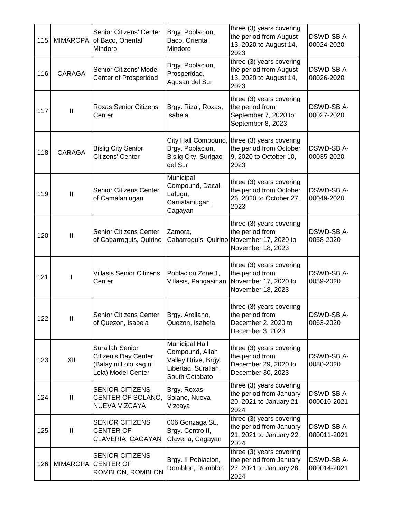| 115 | <b>MIMAROPA</b> | Senior Citizens' Center<br>of Baco, Oriental<br>Mindoro                                | Brgy. Poblacion,<br>Baco, Oriental<br>Mindoro                                                            | three (3) years covering<br>the period from August<br>13, 2020 to August 14,<br>2023                          | <b>DSWD-SB A-</b><br>00024-2020 |
|-----|-----------------|----------------------------------------------------------------------------------------|----------------------------------------------------------------------------------------------------------|---------------------------------------------------------------------------------------------------------------|---------------------------------|
| 116 | CARAGA          | Senior Citizens' Model<br>Center of Prosperidad                                        | Brgy. Poblacion,<br>Prosperidad,<br>Agusan del Sur                                                       | three (3) years covering<br>the period from August<br>13, 2020 to August 14,<br>2023                          | DSWD-SB A-<br>00026-2020        |
| 117 | $\mathbf{I}$    | <b>Roxas Senior Citizens</b><br>Center                                                 | Brgy. Rizal, Roxas,<br>Isabela                                                                           | three (3) years covering<br>the period from<br>September 7, 2020 to<br>September 8, 2023                      | DSWD-SB A-<br>00027-2020        |
| 118 | CARAGA          | <b>Bislig City Senior</b><br>Citizens' Center                                          | City Hall Compound<br>Brgy. Poblacion,<br>Bislig City, Surigao<br>del Sur                                | three (3) years covering<br>the period from October<br>9, 2020 to October 10,<br>2023                         | DSWD-SB A-<br>00035-2020        |
| 119 | $\mathbf{  }$   | Senior Citizens Center<br>of Camalaniugan                                              | Municipal<br>Compound, Dacal-<br>Lafugu,<br>Camalaniugan,<br>Cagayan                                     | three (3) years covering<br>the period from October<br>26, 2020 to October 27,<br>2023                        | DSWD-SB A-<br>00049-2020        |
| 120 | Ш               | Senior Citizens Center<br>of Cabarroguis, Quirino                                      | Zamora,                                                                                                  | three (3) years covering<br>the period from<br>Cabarroguis, Quirino November 17, 2020 to<br>November 18, 2023 | DSWD-SB A-<br>0058-2020         |
| 121 |                 | <b>Villasis Senior Citizens</b><br>Center                                              | Poblacion Zone 1,<br>Villasis, Pangasinan                                                                | three (3) years covering<br>the period from<br>November 17, 2020 to<br>November 18, 2023                      | DSWD-SB A-<br>0059-2020         |
| 122 | $\mathbf{I}$    | Senior Citizens Center<br>of Quezon, Isabela                                           | Brgy. Arellano,<br>Quezon, Isabela                                                                       | three (3) years covering<br>the period from<br>December 2, 2020 to<br>December 3, 2023                        | <b>DSWD-SB A-</b><br>0063-2020  |
| 123 | XII             | Surallah Senior<br>Citizen's Day Center<br>(Balay ni Lolo kag ni<br>Lola) Model Center | <b>Municipal Hall</b><br>Compound, Allah<br>Valley Drive, Brgy.<br>Libertad, Surallah,<br>South Cotabato | three (3) years covering<br>the period from<br>December 29, 2020 to<br>December 30, 2023                      | DSWD-SB A-<br>0080-2020         |
| 124 | $\mathbf{I}$    | <b>SENIOR CITIZENS</b><br>CENTER OF SOLANO,<br>NUEVA VIZCAYA                           | Brgy. Roxas,<br>Solano, Nueva<br>Vizcaya                                                                 | three (3) years covering<br>the period from January<br>20, 2021 to January 21,<br>2024                        | DSWD-SB A-<br>000010-2021       |
| 125 | Ш               | <b>SENIOR CITIZENS</b><br><b>CENTER OF</b><br>CLAVERIA, CAGAYAN                        | 006 Gonzaga St.,<br>Brgy. Centro II,<br>Claveria, Cagayan                                                | three (3) years covering<br>the period from January<br>21, 2021 to January 22,<br>2024                        | DSWD-SB A-<br>000011-2021       |
| 126 | <b>MIMAROPA</b> | <b>SENIOR CITIZENS</b><br><b>CENTER OF</b><br>ROMBLON, ROMBLON                         | Brgy. II Poblacion,<br>Romblon, Romblon                                                                  | three (3) years covering<br>the period from January<br>27, 2021 to January 28,<br>2024                        | DSWD-SB A-<br>000014-2021       |